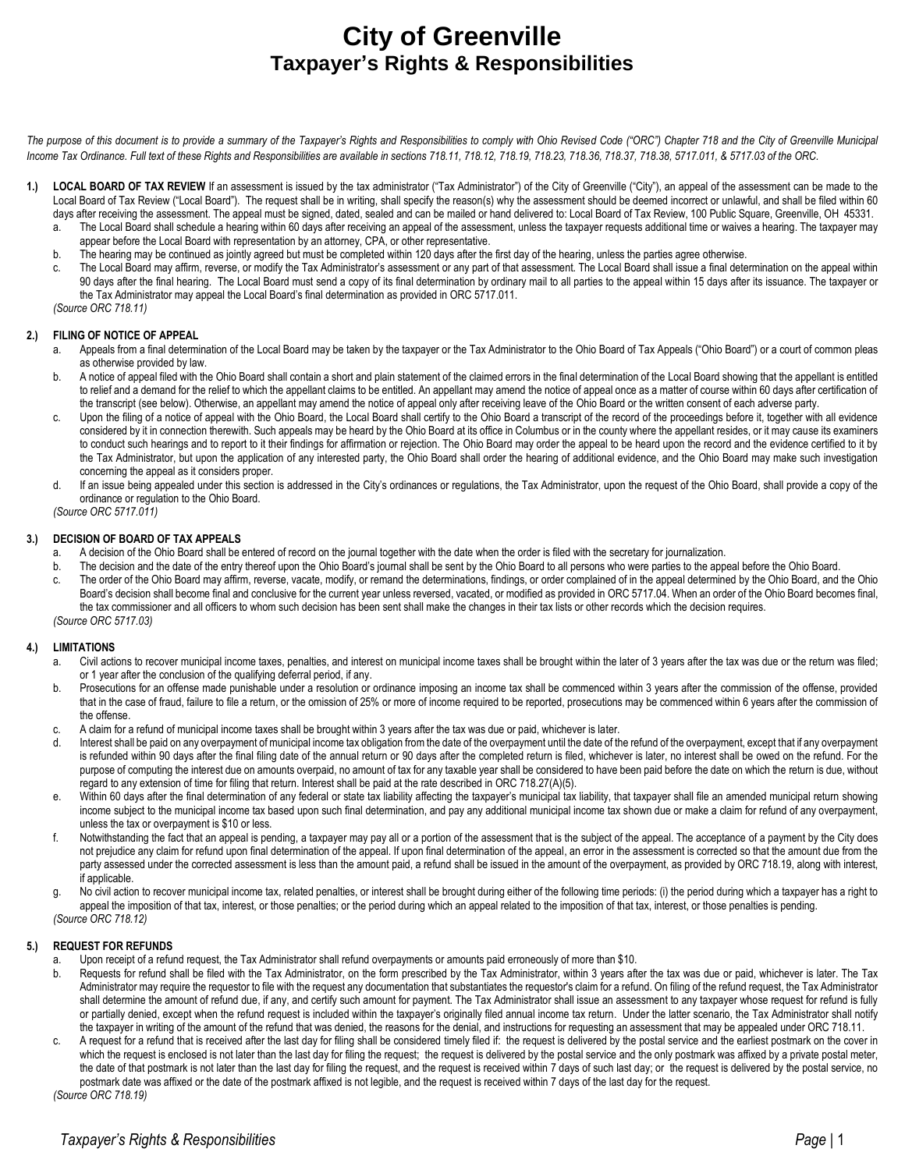# **City of Greenville Taxpayer's Rights & Responsibilities**

The purpose of this document is to provide a summary of the Taxpayer's Rights and Responsibilities to comply with Ohio Revised Code ("ORC") Chapter 718 and the City of Greenville Municipal *Income Tax Ordinance. Full text of these Rights and Responsibilities are available in sections 718.11, 718.12, 718.19, 718.23, 718.36, 718.37, 718.38, 5717.011, & 5717.03 of the ORC.* 

- 1.) LOCAL BOARD OF TAX REVIEW If an assessment is issued by the tax administrator ("Tax Administrator") of the City of Greenville ("City"), an appeal of the assessment can be made to the Local Board of Tax Review ("Local Board"). The request shall be in writing, shall specify the reason(s) why the assessment should be deemed incorrect or unlawful, and shall be filed within 60 days after receiving the assessment. The appeal must be signed, dated, sealed and can be mailed or hand delivered to: Local Board of Tax Review, 100 Public Square, Greenville, OH 45331.
	- a. The Local Board shall schedule a hearing within 60 days after receiving an appeal of the assessment, unless the taxpayer requests additional time or waives a hearing. The taxpayer may appear before the Local Board with representation by an attorney, CPA, or other representative.
	- b. The hearing may be continued as jointly agreed but must be completed within 120 days after the first day of the hearing, unless the parties agree otherwise.
	- c. The Local Board may affirm, reverse, or modify the Tax Administrator's assessment or any part of that assessment. The Local Board shall issue a final determination on the appeal within 90 days after the final hearing. The Local Board must send a copy of its final determination by ordinary mail to all parties to the appeal within 15 days after its issuance. The taxpayer or the Tax Administrator may appeal the Local Board's final determination as provided in ORC 5717.011.

*(Source ORC 718.11)*

#### **2.) FILING OF NOTICE OF APPEAL**

- Appeals from a final determination of the Local Board may be taken by the taxpayer or the Tax Administrator to the Ohio Board of Tax Appeals ("Ohio Board") or a court of common pleas as otherwise provided by law.
- b. A notice of appeal filed with the Ohio Board shall contain a short and plain statement of the claimed errors in the final determination of the Local Board showing that the appellant is entitled to relief and a demand for the relief to which the appellant claims to be entitled. An appellant may amend the notice of appeal once as a matter of course within 60 days after certification of the transcript (see below). Otherwise, an appellant may amend the notice of appeal only after receiving leave of the Ohio Board or the written consent of each adverse party.
- c. Upon the filing of a notice of appeal with the Ohio Board, the Local Board shall certify to the Ohio Board a transcript of the record of the proceedings before it, together with all evidence considered by it in connection therewith. Such appeals may be heard by the Ohio Board at its office in Columbus or in the county where the appellant resides, or it may cause its examiners to conduct such hearings and to report to it their findings for affirmation or rejection. The Ohio Board may order the appeal to be heard upon the record and the evidence certified to it by the Tax Administrator, but upon the application of any interested party, the Ohio Board shall order the hearing of additional evidence, and the Ohio Board may make such investigation concerning the appeal as it considers proper.
- d. If an issue being appealed under this section is addressed in the City's ordinances or regulations, the Tax Administrator, upon the request of the Ohio Board, shall provide a copy of the ordinance or regulation to the Ohio Board.

*(Source ORC 5717.011)*

## **3.) DECISION OF BOARD OF TAX APPEALS**

- a. A decision of the Ohio Board shall be entered of record on the journal together with the date when the order is filed with the secretary for journalization.
- b. The decision and the date of the entry thereof upon the Ohio Board's journal shall be sent by the Ohio Board to all persons who were parties to the appeal before the Ohio Board.
- c. The order of the Ohio Board may affirm, reverse, vacate, modify, or remand the determinations, findings, or order complained of in the appeal determined by the Ohio Board, and the Ohio Board's decision shall become final and conclusive for the current year unless reversed, vacated, or modified as provided in ORC [5717.04.](http://codes.ohio.gov/orc/5717.04) When an order of the Ohio Board becomes final, the tax commissioner and all officers to whom such decision has been sent shall make the changes in their tax lists or other records which the decision requires. *(Source ORC 5717.03)*

#### **4.) LIMITATIONS**

- a. Civil actions to recover municipal income taxes, penalties, and interest on municipal income taxes shall be brought within the later of 3 years after the tax was due or the return was filed; or 1 year after the conclusion of the qualifying deferral period, if any.
- b. Prosecutions for an offense made punishable under a resolution or ordinance imposing an income tax shall be commenced within 3 years after the commission of the offense, provided that in the case of fraud, failure to file a return, or the omission of 25% or more of income required to be reported, prosecutions may be commenced within 6 years after the commission of the offense.
- c. A claim for a refund of municipal income taxes shall be brought within 3 years after the tax was due or paid, whichever is later.
- d. Interest shall be paid on any overpayment of municipal income tax obligation from the date of the overpayment until the date of the refund of the overpayment, except that if any overpayment is refunded within 90 days after the final filing date of the annual return or 90 days after the completed return is filed, whichever is later, no interest shall be owed on the refund. For the purpose of computing the interest due on amounts overpaid, no amount of tax for any taxable year shall be considered to have been paid before the date on which the return is due, without regard to any extension of time for filing that return. Interest shall be paid at the rate described in ORC 718.27(A)(5).
- e. Within 60 days after the final determination of any federal or state tax liability affecting the taxpayer's municipal tax liability, that taxpayer shall file an amended municipal return showing income subject to the municipal income tax based upon such final determination, and pay any additional municipal income tax shown due or make a claim for refund of any overpayment, unless the tax or overpayment is \$10 or less.
- f. Notwithstanding the fact that an appeal is pending, a taxpayer may pay all or a portion of the assessment that is the subject of the appeal. The acceptance of a payment by the City does not prejudice any claim for refund upon final determination of the appeal. If upon final determination of the appeal, an error in the assessment is corrected so that the amount due from the party assessed under the corrected assessment is less than the amount paid, a refund shall be issued in the amount of the overpayment, as provided by ORC 718.19, along with interest, if applicable.
- g. No civil action to recover municipal income tax, related penalties, or interest shall be brought during either of the following time periods: (i) the period during which a taxpayer has a right to appeal the imposition of that tax, interest, or those penalties; or the period during which an appeal related to the imposition of that tax, interest, or those penalties is pending. *(Source ORC 718.12)*

#### **5.) REQUEST FOR REFUNDS**

- a. Upon receipt of a refund request, the Tax Administrator shall refund overpayments or amounts paid erroneously of more than \$10.
- b. Requests for refund shall be filed with the Tax Administrator, on the form prescribed by the Tax Administrator, within 3 years after the tax was due or paid, whichever is later. The Tax Administrator may require the requestor to file with the request any documentation that substantiates the requestor's claim for a refund. On filing of the refund request, the Tax Administrator shall determine the amount of refund due, if any, and certify such amount for payment. The Tax Administrator shall issue an assessment to any taxpayer whose request for refund is fully or partially denied, except when the refund request is included within the taxpayer's originally filed annual income tax return. Under the latter scenario, the Tax Administrator shall notify the taxpayer in writing of the amount of the refund that was denied, the reasons for the denial, and instructions for requesting an assessment that may be appealed under ORC 718.11.
- A request for a refund that is received after the last day for filing shall be considered timely filed if: the request is delivered by the postal service and the earliest postmark on the cover in which the request is enclosed is not later than the last day for filing the request; the request is delivered by the postal service and the only postmark was affixed by a private postal meter, the date of that postmark is not later than the last day for filing the request, and the request is received within 7 days of such last day; or the request is delivered by the postal service, no postmark date was affixed or the date of the postmark affixed is not legible, and the request is received within 7 days of the last day for the request.

*(Source ORC 718.19)*